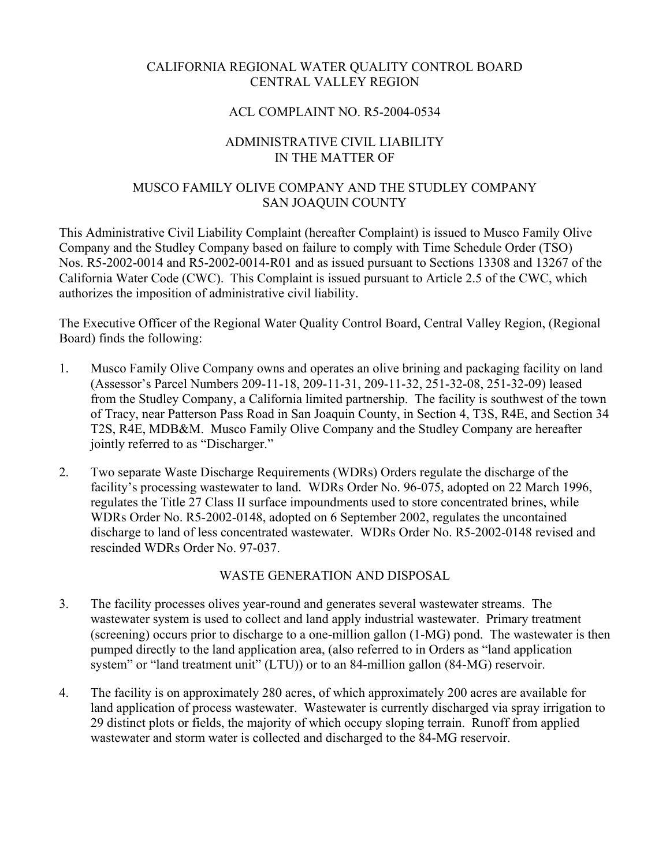## CALIFORNIA REGIONAL WATER QUALITY CONTROL BOARD CENTRAL VALLEY REGION

## ACL COMPLAINT NO. R5-2004-0534

## ADMINISTRATIVE CIVIL LIABILITY IN THE MATTER OF

## MUSCO FAMILY OLIVE COMPANY AND THE STUDLEY COMPANY SAN JOAQUIN COUNTY

This Administrative Civil Liability Complaint (hereafter Complaint) is issued to Musco Family Olive Company and the Studley Company based on failure to comply with Time Schedule Order (TSO) Nos. R5-2002-0014 and R5-2002-0014-R01 and as issued pursuant to Sections 13308 and 13267 of the California Water Code (CWC). This Complaint is issued pursuant to Article 2.5 of the CWC, which authorizes the imposition of administrative civil liability.

The Executive Officer of the Regional Water Quality Control Board, Central Valley Region, (Regional Board) finds the following:

- 1. Musco Family Olive Company owns and operates an olive brining and packaging facility on land (Assessor's Parcel Numbers 209-11-18, 209-11-31, 209-11-32, 251-32-08, 251-32-09) leased from the Studley Company, a California limited partnership. The facility is southwest of the town of Tracy, near Patterson Pass Road in San Joaquin County, in Section 4, T3S, R4E, and Section 34 T2S, R4E, MDB&M. Musco Family Olive Company and the Studley Company are hereafter jointly referred to as "Discharger."
- 2. Two separate Waste Discharge Requirements (WDRs) Orders regulate the discharge of the facility's processing wastewater to land. WDRs Order No. 96-075, adopted on 22 March 1996, regulates the Title 27 Class II surface impoundments used to store concentrated brines, while WDRs Order No. R5-2002-0148, adopted on 6 September 2002, regulates the uncontained discharge to land of less concentrated wastewater. WDRs Order No. R5-2002-0148 revised and rescinded WDRs Order No. 97-037.

## WASTE GENERATION AND DISPOSAL

- 3. The facility processes olives year-round and generates several wastewater streams. The wastewater system is used to collect and land apply industrial wastewater. Primary treatment (screening) occurs prior to discharge to a one-million gallon (1-MG) pond. The wastewater is then pumped directly to the land application area, (also referred to in Orders as "land application system" or "land treatment unit" (LTU)) or to an 84-million gallon (84-MG) reservoir.
- 4. The facility is on approximately 280 acres, of which approximately 200 acres are available for land application of process wastewater. Wastewater is currently discharged via spray irrigation to 29 distinct plots or fields, the majority of which occupy sloping terrain. Runoff from applied wastewater and storm water is collected and discharged to the 84-MG reservoir.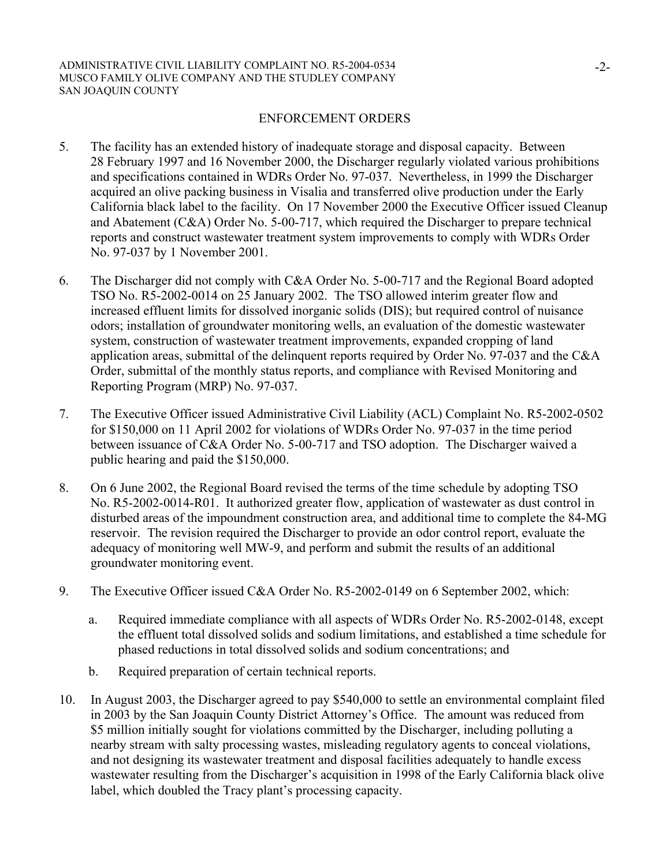### ENFORCEMENT ORDERS

- 5. The facility has an extended history of inadequate storage and disposal capacity. Between 28 February 1997 and 16 November 2000, the Discharger regularly violated various prohibitions and specifications contained in WDRs Order No. 97-037. Nevertheless, in 1999 the Discharger acquired an olive packing business in Visalia and transferred olive production under the Early California black label to the facility. On 17 November 2000 the Executive Officer issued Cleanup and Abatement (C&A) Order No. 5-00-717, which required the Discharger to prepare technical reports and construct wastewater treatment system improvements to comply with WDRs Order No. 97-037 by 1 November 2001.
- 6. The Discharger did not comply with C&A Order No. 5-00-717 and the Regional Board adopted TSO No. R5-2002-0014 on 25 January 2002. The TSO allowed interim greater flow and increased effluent limits for dissolved inorganic solids (DIS); but required control of nuisance odors; installation of groundwater monitoring wells, an evaluation of the domestic wastewater system, construction of wastewater treatment improvements, expanded cropping of land application areas, submittal of the delinquent reports required by Order No. 97-037 and the C&A Order, submittal of the monthly status reports, and compliance with Revised Monitoring and Reporting Program (MRP) No. 97-037.
- 7. The Executive Officer issued Administrative Civil Liability (ACL) Complaint No. R5-2002-0502 for \$150,000 on 11 April 2002 for violations of WDRs Order No. 97-037 in the time period between issuance of C&A Order No. 5-00-717 and TSO adoption. The Discharger waived a public hearing and paid the \$150,000.
- 8. On 6 June 2002, the Regional Board revised the terms of the time schedule by adopting TSO No. R5-2002-0014-R01. It authorized greater flow, application of wastewater as dust control in disturbed areas of the impoundment construction area, and additional time to complete the 84-MG reservoir. The revision required the Discharger to provide an odor control report, evaluate the adequacy of monitoring well MW-9, and perform and submit the results of an additional groundwater monitoring event.
- 9. The Executive Officer issued C&A Order No. R5-2002-0149 on 6 September 2002, which:
	- a. Required immediate compliance with all aspects of WDRs Order No. R5-2002-0148, except the effluent total dissolved solids and sodium limitations, and established a time schedule for phased reductions in total dissolved solids and sodium concentrations; and
	- b. Required preparation of certain technical reports.
- 10. In August 2003, the Discharger agreed to pay \$540,000 to settle an environmental complaint filed in 2003 by the San Joaquin County District Attorney's Office. The amount was reduced from \$5 million initially sought for violations committed by the Discharger, including polluting a nearby stream with salty processing wastes, misleading regulatory agents to conceal violations, and not designing its wastewater treatment and disposal facilities adequately to handle excess wastewater resulting from the Discharger's acquisition in 1998 of the Early California black olive label, which doubled the Tracy plant's processing capacity.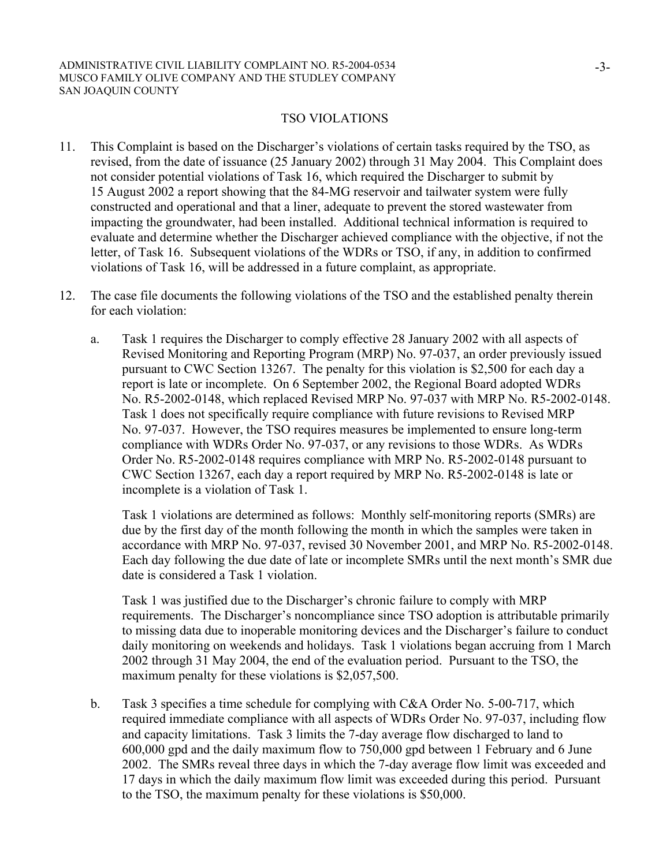### TSO VIOLATIONS

- 11. This Complaint is based on the Discharger's violations of certain tasks required by the TSO, as revised, from the date of issuance (25 January 2002) through 31 May 2004. This Complaint does not consider potential violations of Task 16, which required the Discharger to submit by 15 August 2002 a report showing that the 84-MG reservoir and tailwater system were fully constructed and operational and that a liner, adequate to prevent the stored wastewater from impacting the groundwater, had been installed. Additional technical information is required to evaluate and determine whether the Discharger achieved compliance with the objective, if not the letter, of Task 16. Subsequent violations of the WDRs or TSO, if any, in addition to confirmed violations of Task 16, will be addressed in a future complaint, as appropriate.
- 12. The case file documents the following violations of the TSO and the established penalty therein for each violation:
	- a. Task 1 requires the Discharger to comply effective 28 January 2002 with all aspects of Revised Monitoring and Reporting Program (MRP) No. 97-037, an order previously issued pursuant to CWC Section 13267. The penalty for this violation is \$2,500 for each day a report is late or incomplete. On 6 September 2002, the Regional Board adopted WDRs No. R5-2002-0148, which replaced Revised MRP No. 97-037 with MRP No. R5-2002-0148. Task 1 does not specifically require compliance with future revisions to Revised MRP No. 97-037. However, the TSO requires measures be implemented to ensure long-term compliance with WDRs Order No. 97-037, or any revisions to those WDRs. As WDRs Order No. R5-2002-0148 requires compliance with MRP No. R5-2002-0148 pursuant to CWC Section 13267, each day a report required by MRP No. R5-2002-0148 is late or incomplete is a violation of Task 1.

Task 1 violations are determined as follows: Monthly self-monitoring reports (SMRs) are due by the first day of the month following the month in which the samples were taken in accordance with MRP No. 97-037, revised 30 November 2001, and MRP No. R5-2002-0148. Each day following the due date of late or incomplete SMRs until the next month's SMR due date is considered a Task 1 violation.

Task 1 was justified due to the Discharger's chronic failure to comply with MRP requirements. The Discharger's noncompliance since TSO adoption is attributable primarily to missing data due to inoperable monitoring devices and the Discharger's failure to conduct daily monitoring on weekends and holidays. Task 1 violations began accruing from 1 March 2002 through 31 May 2004, the end of the evaluation period. Pursuant to the TSO, the maximum penalty for these violations is \$2,057,500.

b. Task 3 specifies a time schedule for complying with C&A Order No. 5-00-717, which required immediate compliance with all aspects of WDRs Order No. 97-037, including flow and capacity limitations. Task 3 limits the 7-day average flow discharged to land to 600,000 gpd and the daily maximum flow to 750,000 gpd between 1 February and 6 June 2002. The SMRs reveal three days in which the 7-day average flow limit was exceeded and 17 days in which the daily maximum flow limit was exceeded during this period. Pursuant to the TSO, the maximum penalty for these violations is \$50,000.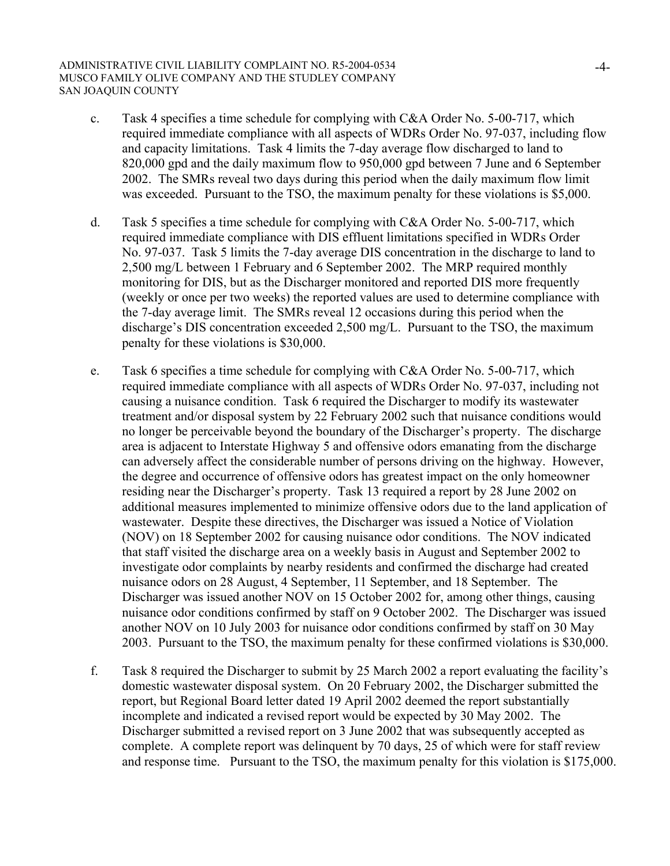- c. Task 4 specifies a time schedule for complying with C&A Order No. 5-00-717, which required immediate compliance with all aspects of WDRs Order No. 97-037, including flow and capacity limitations. Task 4 limits the 7-day average flow discharged to land to 820,000 gpd and the daily maximum flow to 950,000 gpd between 7 June and 6 September 2002. The SMRs reveal two days during this period when the daily maximum flow limit was exceeded. Pursuant to the TSO, the maximum penalty for these violations is \$5,000.
- d. Task 5 specifies a time schedule for complying with C&A Order No. 5-00-717, which required immediate compliance with DIS effluent limitations specified in WDRs Order No. 97-037. Task 5 limits the 7-day average DIS concentration in the discharge to land to 2,500 mg/L between 1 February and 6 September 2002. The MRP required monthly monitoring for DIS, but as the Discharger monitored and reported DIS more frequently (weekly or once per two weeks) the reported values are used to determine compliance with the 7-day average limit. The SMRs reveal 12 occasions during this period when the discharge's DIS concentration exceeded 2,500 mg/L. Pursuant to the TSO, the maximum penalty for these violations is \$30,000.
- e. Task 6 specifies a time schedule for complying with C&A Order No. 5-00-717, which required immediate compliance with all aspects of WDRs Order No. 97-037, including not causing a nuisance condition. Task 6 required the Discharger to modify its wastewater treatment and/or disposal system by 22 February 2002 such that nuisance conditions would no longer be perceivable beyond the boundary of the Discharger's property. The discharge area is adjacent to Interstate Highway 5 and offensive odors emanating from the discharge can adversely affect the considerable number of persons driving on the highway. However, the degree and occurrence of offensive odors has greatest impact on the only homeowner residing near the Discharger's property. Task 13 required a report by 28 June 2002 on additional measures implemented to minimize offensive odors due to the land application of wastewater. Despite these directives, the Discharger was issued a Notice of Violation (NOV) on 18 September 2002 for causing nuisance odor conditions. The NOV indicated that staff visited the discharge area on a weekly basis in August and September 2002 to investigate odor complaints by nearby residents and confirmed the discharge had created nuisance odors on 28 August, 4 September, 11 September, and 18 September. The Discharger was issued another NOV on 15 October 2002 for, among other things, causing nuisance odor conditions confirmed by staff on 9 October 2002. The Discharger was issued another NOV on 10 July 2003 for nuisance odor conditions confirmed by staff on 30 May 2003. Pursuant to the TSO, the maximum penalty for these confirmed violations is \$30,000.
- f. Task 8 required the Discharger to submit by 25 March 2002 a report evaluating the facility's domestic wastewater disposal system. On 20 February 2002, the Discharger submitted the report, but Regional Board letter dated 19 April 2002 deemed the report substantially incomplete and indicated a revised report would be expected by 30 May 2002. The Discharger submitted a revised report on 3 June 2002 that was subsequently accepted as complete. A complete report was delinquent by 70 days, 25 of which were for staff review and response time. Pursuant to the TSO, the maximum penalty for this violation is \$175,000.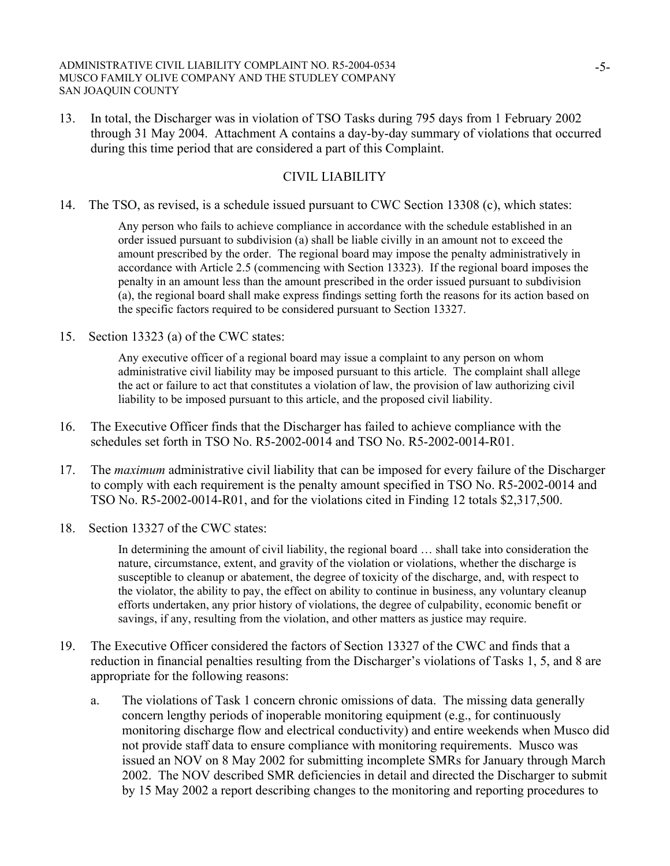13. In total, the Discharger was in violation of TSO Tasks during 795 days from 1 February 2002 through 31 May 2004. Attachment A contains a day-by-day summary of violations that occurred during this time period that are considered a part of this Complaint.

## CIVIL LIABILITY

14. The TSO, as revised, is a schedule issued pursuant to CWC Section 13308 (c), which states:

Any person who fails to achieve compliance in accordance with the schedule established in an order issued pursuant to subdivision (a) shall be liable civilly in an amount not to exceed the amount prescribed by the order. The regional board may impose the penalty administratively in accordance with Article 2.5 (commencing with Section 13323). If the regional board imposes the penalty in an amount less than the amount prescribed in the order issued pursuant to subdivision (a), the regional board shall make express findings setting forth the reasons for its action based on the specific factors required to be considered pursuant to Section 13327.

15. Section 13323 (a) of the CWC states:

Any executive officer of a regional board may issue a complaint to any person on whom administrative civil liability may be imposed pursuant to this article. The complaint shall allege the act or failure to act that constitutes a violation of law, the provision of law authorizing civil liability to be imposed pursuant to this article, and the proposed civil liability.

- 16. The Executive Officer finds that the Discharger has failed to achieve compliance with the schedules set forth in TSO No. R5-2002-0014 and TSO No. R5-2002-0014-R01.
- 17. The *maximum* administrative civil liability that can be imposed for every failure of the Discharger to comply with each requirement is the penalty amount specified in TSO No. R5-2002-0014 and TSO No. R5-2002-0014-R01, and for the violations cited in Finding 12 totals \$2,317,500.
- 18. Section 13327 of the CWC states:

In determining the amount of civil liability, the regional board … shall take into consideration the nature, circumstance, extent, and gravity of the violation or violations, whether the discharge is susceptible to cleanup or abatement, the degree of toxicity of the discharge, and, with respect to the violator, the ability to pay, the effect on ability to continue in business, any voluntary cleanup efforts undertaken, any prior history of violations, the degree of culpability, economic benefit or savings, if any, resulting from the violation, and other matters as justice may require.

- 19. The Executive Officer considered the factors of Section 13327 of the CWC and finds that a reduction in financial penalties resulting from the Discharger's violations of Tasks 1, 5, and 8 are appropriate for the following reasons:
	- a. The violations of Task 1 concern chronic omissions of data. The missing data generally concern lengthy periods of inoperable monitoring equipment (e.g., for continuously monitoring discharge flow and electrical conductivity) and entire weekends when Musco did not provide staff data to ensure compliance with monitoring requirements. Musco was issued an NOV on 8 May 2002 for submitting incomplete SMRs for January through March 2002. The NOV described SMR deficiencies in detail and directed the Discharger to submit by 15 May 2002 a report describing changes to the monitoring and reporting procedures to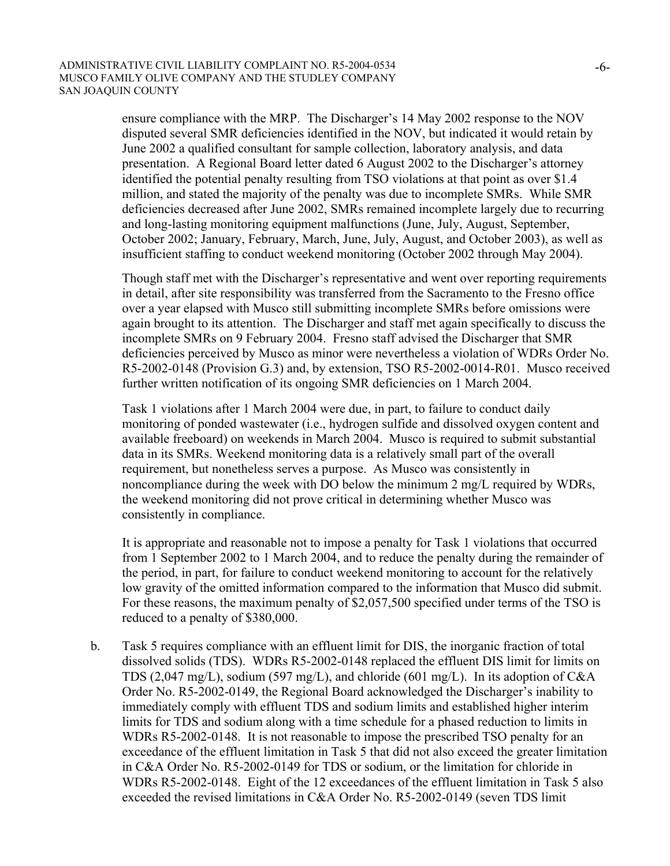ensure compliance with the MRP. The Discharger's 14 May 2002 response to the NOV disputed several SMR deficiencies identified in the NOV, but indicated it would retain by June 2002 a qualified consultant for sample collection, laboratory analysis, and data presentation. A Regional Board letter dated 6 August 2002 to the Discharger's attorney identified the potential penalty resulting from TSO violations at that point as over \$1.4 million, and stated the majority of the penalty was due to incomplete SMRs. While SMR deficiencies decreased after June 2002, SMRs remained incomplete largely due to recurring and long-lasting monitoring equipment malfunctions (June, July, August, September, October 2002; January, February, March, June, July, August, and October 2003), as well as insufficient staffing to conduct weekend monitoring (October 2002 through May 2004).

Though staff met with the Discharger's representative and went over reporting requirements in detail, after site responsibility was transferred from the Sacramento to the Fresno office over a year elapsed with Musco still submitting incomplete SMRs before omissions were again brought to its attention. The Discharger and staff met again specifically to discuss the incomplete SMRs on 9 February 2004. Fresno staff advised the Discharger that SMR deficiencies perceived by Musco as minor were nevertheless a violation of WDRs Order No. R5-2002-0148 (Provision G.3) and, by extension, TSO R5-2002-0014-R01. Musco received further written notification of its ongoing SMR deficiencies on 1 March 2004.

Task 1 violations after 1 March 2004 were due, in part, to failure to conduct daily monitoring of ponded wastewater (i.e., hydrogen sulfide and dissolved oxygen content and available freeboard) on weekends in March 2004. Musco is required to submit substantial data in its SMRs. Weekend monitoring data is a relatively small part of the overall requirement, but nonetheless serves a purpose. As Musco was consistently in noncompliance during the week with DO below the minimum 2 mg/L required by WDRs, the weekend monitoring did not prove critical in determining whether Musco was consistently in compliance.

 It is appropriate and reasonable not to impose a penalty for Task 1 violations that occurred from 1 September 2002 to 1 March 2004, and to reduce the penalty during the remainder of the period, in part, for failure to conduct weekend monitoring to account for the relatively low gravity of the omitted information compared to the information that Musco did submit. For these reasons, the maximum penalty of \$2,057,500 specified under terms of the TSO is reduced to a penalty of \$380,000.

b. Task 5 requires compliance with an effluent limit for DIS, the inorganic fraction of total dissolved solids (TDS). WDRs R5-2002-0148 replaced the effluent DIS limit for limits on TDS (2,047 mg/L), sodium (597 mg/L), and chloride (601 mg/L). In its adoption of C&A Order No. R5-2002-0149, the Regional Board acknowledged the Discharger's inability to immediately comply with effluent TDS and sodium limits and established higher interim limits for TDS and sodium along with a time schedule for a phased reduction to limits in WDRs R5-2002-0148. It is not reasonable to impose the prescribed TSO penalty for an exceedance of the effluent limitation in Task 5 that did not also exceed the greater limitation in C&A Order No. R5-2002-0149 for TDS or sodium, or the limitation for chloride in WDRs R5-2002-0148. Eight of the 12 exceedances of the effluent limitation in Task 5 also exceeded the revised limitations in C&A Order No. R5-2002-0149 (seven TDS limit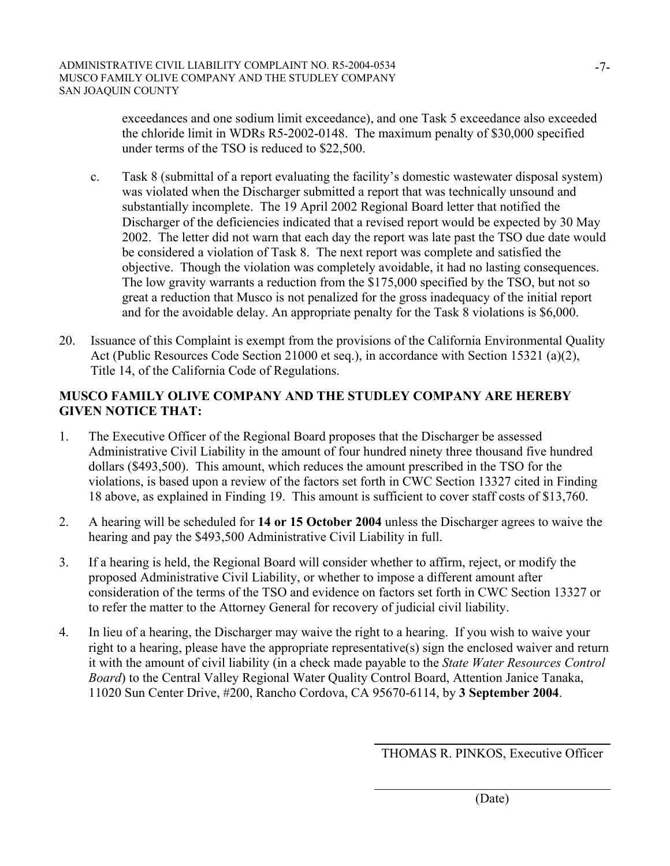exceedances and one sodium limit exceedance), and one Task 5 exceedance also exceeded the chloride limit in WDRs R5-2002-0148. The maximum penalty of \$30,000 specified under terms of the TSO is reduced to \$22,500.

- c. Task 8 (submittal of a report evaluating the facility's domestic wastewater disposal system) was violated when the Discharger submitted a report that was technically unsound and substantially incomplete. The 19 April 2002 Regional Board letter that notified the Discharger of the deficiencies indicated that a revised report would be expected by 30 May 2002. The letter did not warn that each day the report was late past the TSO due date would be considered a violation of Task 8. The next report was complete and satisfied the objective. Though the violation was completely avoidable, it had no lasting consequences. The low gravity warrants a reduction from the \$175,000 specified by the TSO, but not so great a reduction that Musco is not penalized for the gross inadequacy of the initial report and for the avoidable delay. An appropriate penalty for the Task 8 violations is \$6,000.
- 20. Issuance of this Complaint is exempt from the provisions of the California Environmental Quality Act (Public Resources Code Section 21000 et seq.), in accordance with Section 15321 (a)(2), Title 14, of the California Code of Regulations.

# **MUSCO FAMILY OLIVE COMPANY AND THE STUDLEY COMPANY ARE HEREBY GIVEN NOTICE THAT:**

- 1. The Executive Officer of the Regional Board proposes that the Discharger be assessed Administrative Civil Liability in the amount of four hundred ninety three thousand five hundred dollars (\$493,500). This amount, which reduces the amount prescribed in the TSO for the violations, is based upon a review of the factors set forth in CWC Section 13327 cited in Finding 18 above, as explained in Finding 19. This amount is sufficient to cover staff costs of \$13,760.
- 2. A hearing will be scheduled for **14 or 15 October 2004** unless the Discharger agrees to waive the hearing and pay the \$493,500 Administrative Civil Liability in full.
- 3. If a hearing is held, the Regional Board will consider whether to affirm, reject, or modify the proposed Administrative Civil Liability, or whether to impose a different amount after consideration of the terms of the TSO and evidence on factors set forth in CWC Section 13327 or to refer the matter to the Attorney General for recovery of judicial civil liability.
- 4. In lieu of a hearing, the Discharger may waive the right to a hearing. If you wish to waive your right to a hearing, please have the appropriate representative(s) sign the enclosed waiver and return it with the amount of civil liability (in a check made payable to the *State Water Resources Control Board*) to the Central Valley Regional Water Quality Control Board, Attention Janice Tanaka, 11020 Sun Center Drive, #200, Rancho Cordova, CA 95670-6114, by **3 September 2004**.

THOMAS R. PINKOS, Executive Officer